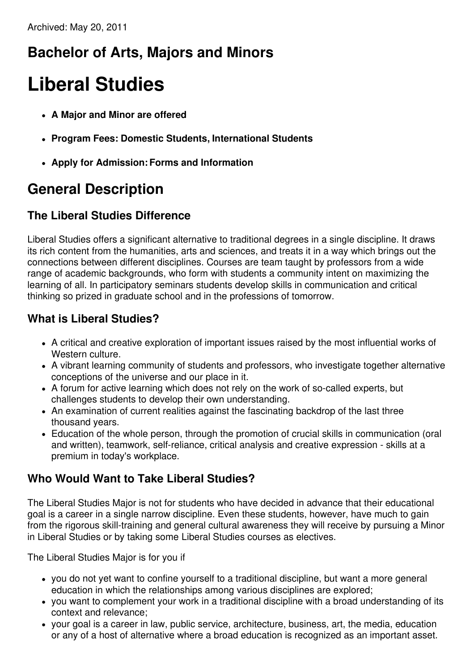## **Bachelor of Arts, Majors and Minors**

# **Liberal Studies**

- **A Major and Minor are offered**
- **Program Fees: Domestic Students, International Students**
- **Apply for Admission:Forms and Information**

## **General Description**

#### **The Liberal Studies Difference**

Liberal Studies offers a significant alternative to traditional degrees in a single discipline. It draws its rich content from the humanities, arts and sciences, and treats it in a way which brings out the connections between different disciplines. Courses are team taught by professors from a wide range of academic backgrounds, who form with students a community intent on maximizing the learning of all. In participatory seminars students develop skills in communication and critical thinking so prized in graduate school and in the professions of tomorrow.

#### **What is Liberal Studies?**

- A critical and creative exploration of important issues raised by the most influential works of Western culture.
- A vibrant learning community of students and professors, who investigate together alternative conceptions of the universe and our place in it.
- A forum for active learning which does not rely on the work of so-called experts, but challenges students to develop their own understanding.
- An examination of current realities against the fascinating backdrop of the last three thousand years.
- Education of the whole person, through the promotion of crucial skills in communication (oral and written), teamwork, self-reliance, critical analysis and creative expression - skills at a premium in today's workplace.

### **Who Would Want to Take Liberal Studies?**

The Liberal Studies Major is not for students who have decided in advance that their educational goal is a career in a single narrow discipline. Even these students, however, have much to gain from the rigorous skill-training and general cultural awareness they will receive by pursuing a Minor in Liberal Studies or by taking some Liberal Studies courses as electives.

The Liberal Studies Major is for you if

- you do not yet want to confine yourself to a traditional discipline, but want a more general education in which the relationships among various disciplines are explored;
- you want to complement your work in a traditional discipline with a broad understanding of its context and relevance;
- your goal is a career in law, public service, architecture, business, art, the media, education or any of a host of alternative where a broad education is recognized as an important asset.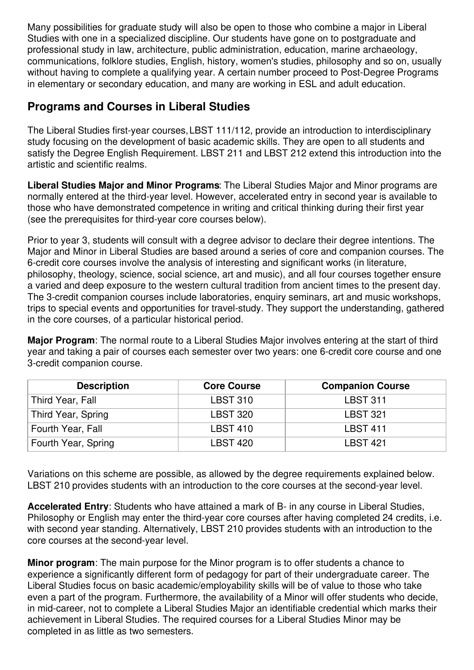Many possibilities for graduate study will also be open to those who combine a major in Liberal Studies with one in a specialized discipline. Our students have gone on to postgraduate and professional study in law, architecture, public administration, education, marine archaeology, communications, folklore studies, English, history, women's studies, philosophy and so on, usually without having to complete a qualifying year. A certain number proceed to Post-Degree Programs in elementary or secondary education, and many are working in ESL and adult education.

#### **Programs and Courses in Liberal Studies**

The Liberal Studies first-year courses, LBST 111/112, provide an introduction to interdisciplinary study focusing on the development of basic academic skills. They are open to all students and satisfy the Degree English Requirement. LBST 211 and LBST 212 extend this introduction into the artistic and scientific realms.

**Liberal Studies Major and Minor Programs**: The Liberal Studies Major and Minor programs are normally entered at the third-year level. However, accelerated entry in second year is available to those who have demonstrated competence in writing and critical thinking during their first year (see the prerequisites for third-year core courses below).

Prior to year 3, students will consult with a degree advisor to declare their degree intentions. The Major and Minor in Liberal Studies are based around a series of core and companion courses. The 6-credit core courses involve the analysis of interesting and significant works (in literature, philosophy, theology, science, social science, art and music), and all four courses together ensure a varied and deep exposure to the western cultural tradition from ancient times to the present day. The 3-credit companion courses include laboratories, enquiry seminars, art and music workshops, trips to special events and opportunities for travel-study. They support the understanding, gathered in the core courses, of a particular historical period.

**Major Program**: The normal route to a Liberal Studies Major involves entering at the start of third year and taking a pair of courses each semester over two years: one 6-credit core course and one 3-credit companion course.

| <b>Description</b>  | <b>Core Course</b> | <b>Companion Course</b> |
|---------------------|--------------------|-------------------------|
| Third Year, Fall    | <b>LBST 310</b>    | <b>LBST 311</b>         |
| Third Year, Spring  | <b>LBST 320</b>    | <b>LBST 321</b>         |
| Fourth Year, Fall   | <b>LBST 410</b>    | <b>LBST 411</b>         |
| Fourth Year, Spring | <b>LBST 420</b>    | LBST 421                |

Variations on this scheme are possible, as allowed by the degree requirements explained below. LBST 210 provides students with an introduction to the core courses at the second-year level.

**Accelerated Entry**: Students who have attained a mark of B- in any course in Liberal Studies, Philosophy or English may enter the third-year core courses after having completed 24 credits, i.e. with second year standing. Alternatively, LBST 210 provides students with an introduction to the core courses at the second-year level.

**Minor program**: The main purpose for the Minor program is to offer students a chance to experience a significantly different form of pedagogy for part of their undergraduate career. The Liberal Studies focus on basic academic/employability skills will be of value to those who take even a part of the program. Furthermore, the availability of a Minor will offer students who decide, in mid-career, not to complete a Liberal Studies Major an identifiable credential which marks their achievement in Liberal Studies. The required courses for a Liberal Studies Minor may be completed in as little as two semesters.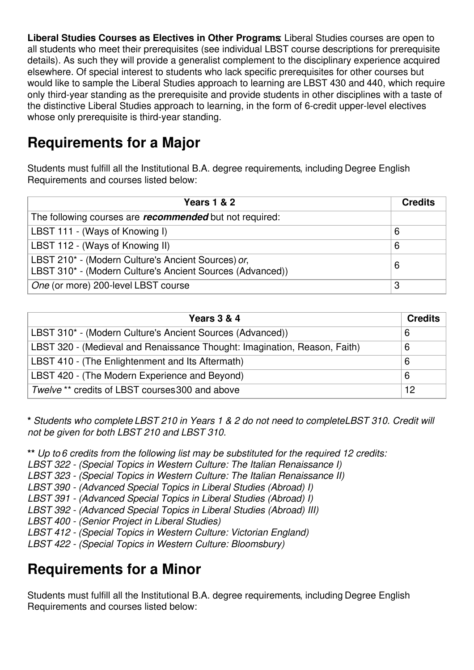**Liberal Studies Courses as Electives in Other Programs**: Liberal Studies courses are open to all students who meet their prerequisites (see individual LBST course descriptions for prerequisite details). As such they will provide a generalist complement to the disciplinary experience acquired elsewhere. Of special interest to students who lack specific prerequisites for other courses but would like to sample the Liberal Studies approach to learning are LBST 430 and 440, which require only third-year standing as the prerequisite and provide students in other disciplines with a taste of the distinctive Liberal Studies approach to learning, in the form of 6-credit upper-level electives whose only prerequisite is third-year standing.

## **Requirements for a Major**

Students must fulfill all the Institutional B.A. degree requirements, including Degree English Requirements and courses listed below:

| <b>Years 1 &amp; 2</b>                                                                                          | <b>Credits</b> |
|-----------------------------------------------------------------------------------------------------------------|----------------|
| The following courses are <i>recommended</i> but not required:                                                  |                |
| LBST 111 - (Ways of Knowing I)                                                                                  | 6              |
| LBST 112 - (Ways of Knowing II)                                                                                 | 6              |
| LBST 210* - (Modern Culture's Ancient Sources) or,<br>LBST 310* - (Modern Culture's Ancient Sources (Advanced)) | 6              |
| One (or more) 200-level LBST course                                                                             | 3              |

| Years 3 & 4                                                               | <b>Credits</b> |
|---------------------------------------------------------------------------|----------------|
| LBST 310* - (Modern Culture's Ancient Sources (Advanced))                 | 6              |
| LBST 320 - (Medieval and Renaissance Thought: Imagination, Reason, Faith) | 6              |
| LBST 410 - (The Enlightenment and Its Aftermath)                          | 6              |
| LBST 420 - (The Modern Experience and Beyond)                             |                |
| Twelve ** credits of LBST courses 300 and above                           | 12             |

\* Students who complete LBST 210 in Years 1 & 2 do not need to completeLBST 310. Credit will *not be given for both LBST 210 and LBST 310.*

**\*\*** *Up to 6 credits from the following list may be substituted for the required 12 credits:*

*LBST 322 - (Special Topics in Western Culture: The Italian Renaissance I)*

*LBST 323 - (Special Topics in Western Culture: The Italian Renaissance II)*

*LBST 390 - (Advanced Special Topics in Liberal Studies (Abroad) I)*

- *LBST 391 - (Advanced Special Topics in Liberal Studies (Abroad) I)*
- *LBST 392 - (Advanced Special Topics in Liberal Studies (Abroad) III)*

*LBST 400 - (Senior Project in Liberal Studies)*

*LBST 412 - (Special Topics in Western Culture: Victorian England)*

*LBST 422 - (Special Topics in Western Culture: Bloomsbury)*

## **Requirements for a Minor**

Students must fulfill all the Institutional B.A. degree requirements, including Degree English Requirements and courses listed below: